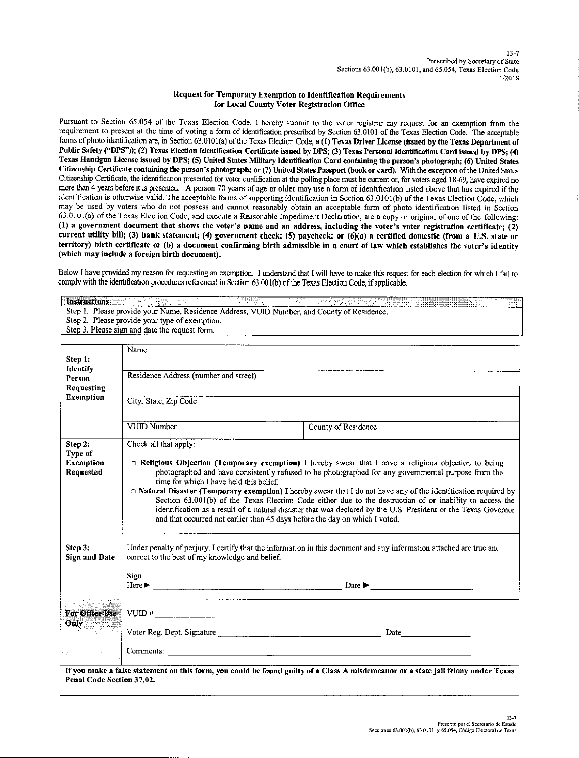## Request for Temporary Exemption to Identification Requirements for Local County Voter Registration Office

Pursuant to Section 65.054 of the Texas Election Code, I hereby submit to the voter registrar my request for an exemption from the requirement to present at the time of voting a form of identification prescribed by Section 63.0101 of the Texas Election Code. The acceptable forms of photo identification are, in Section 63.0101(a) of the Texas Election Code, a (1) Texas Driver License (issued by the Texas Department of Public Safety ("DPS")); (2) Texas Election Identification Certificate issued by DPS; (3) Texas Personal Identification Card issued by DPS; (4) Texas Handgun License issued by DPS; (5) United States Military Identification Card containing the person's photograph; (6) United States Citizenship Certificate containing the person's photograph; or (7) United States Passport (book or card). With the exception of the United States Citizenship Certificate, the identification presented for voter qualification at the polling place must be current or, for voters aged 18-69, have expired no more than 4 years before it is presented. A person 70 years of age or older may use a form of identification listed above that has expired if the identification is otherwise valid. The acceptable forms of supporting identification in Section 63.0101(b) of the Texas Election Code, which may be used by voters who do not possess and cannot reasonably obtain an acceptable form of photo identification listed in Section 63.0101(a) of the Texas Election Code, and execute a Reasonable Impediment Declaration, are a copy or original of one of the following: (1) a government document that shows the voter's name and an address, including the voter's voter registration certificate; (2) current utility bill; (3) bank statement; (4) government check; (5) paycheck; or (6)(a) a certified domestic (from a U.S. state or territory) birth certificate or (b) a document confirming birth admissible in a court of law which establishes the voter's identity (which may include a foreign birth document).

Below I have provided my reason for requesting an exemption. I understand that I will have to make this request for each election for which I fail to comply with the identification procedures referenced in Section 63.001(b) of the Texas Election Code, if applicable.

**Instructions** Step 1. Please provide your Name, Residence Address, VUID Number, and County of Residence. Step 2. Please provide your type of exemption. Step 3. Please sign and date the request form.

|                                                                                                                                   | Name                                                                                                                                                                                                                                                                                                                                                    |                     |  |
|-----------------------------------------------------------------------------------------------------------------------------------|---------------------------------------------------------------------------------------------------------------------------------------------------------------------------------------------------------------------------------------------------------------------------------------------------------------------------------------------------------|---------------------|--|
| Step 1:                                                                                                                           |                                                                                                                                                                                                                                                                                                                                                         |                     |  |
| Identify<br>Person                                                                                                                | Residence Address (number and street)                                                                                                                                                                                                                                                                                                                   |                     |  |
| <b>Requesting</b>                                                                                                                 |                                                                                                                                                                                                                                                                                                                                                         |                     |  |
| <b>Exemption</b>                                                                                                                  | City, State, Zip Code                                                                                                                                                                                                                                                                                                                                   |                     |  |
|                                                                                                                                   |                                                                                                                                                                                                                                                                                                                                                         |                     |  |
|                                                                                                                                   | VUID Number                                                                                                                                                                                                                                                                                                                                             | County of Residence |  |
|                                                                                                                                   |                                                                                                                                                                                                                                                                                                                                                         |                     |  |
| Step 2:                                                                                                                           | Check all that apply:                                                                                                                                                                                                                                                                                                                                   |                     |  |
| Type of                                                                                                                           |                                                                                                                                                                                                                                                                                                                                                         |                     |  |
| <b>Exemption</b><br>Requested                                                                                                     | $\Box$ Religious Objection (Temporary exemption) I hereby swear that I have a religious objection to being<br>photographed and have consistently refused to be photographed for any governmental purpose from the                                                                                                                                       |                     |  |
|                                                                                                                                   | time for which I have held this belief.                                                                                                                                                                                                                                                                                                                 |                     |  |
|                                                                                                                                   | $\Box$ <b>Natural Disaster (Temporary exemption)</b> I hereby swear that I do not have any of the identification required by                                                                                                                                                                                                                            |                     |  |
|                                                                                                                                   | Section 63.001(b) of the Texas Election Code either due to the destruction of or inability to access the                                                                                                                                                                                                                                                |                     |  |
|                                                                                                                                   | identification as a result of a natural disaster that was declared by the U.S. President or the Texas Governor<br>and that occurred not earlier than 45 days before the day on which I voted.                                                                                                                                                           |                     |  |
|                                                                                                                                   |                                                                                                                                                                                                                                                                                                                                                         |                     |  |
|                                                                                                                                   |                                                                                                                                                                                                                                                                                                                                                         |                     |  |
| Step 3:<br><b>Sign and Date</b>                                                                                                   | Under penalty of perjury, I certify that the information in this document and any information attached are true and<br>correct to the best of my knowledge and belief.                                                                                                                                                                                  |                     |  |
|                                                                                                                                   |                                                                                                                                                                                                                                                                                                                                                         |                     |  |
|                                                                                                                                   | Sign                                                                                                                                                                                                                                                                                                                                                    |                     |  |
|                                                                                                                                   | $Here$ $\blacktriangleright$ $\ldots$ $\ldots$ $\ldots$ $\ldots$ $\ldots$ $\ldots$ $\ldots$ $\ldots$ $\ldots$ $\ldots$ $\ldots$ $\ldots$ $\ldots$ $\ldots$ $\ldots$ $\ldots$ $\ldots$ $\ldots$ $\ldots$ $\ldots$ $\ldots$ $\ldots$ $\ldots$ $\ldots$ $\ldots$ $\ldots$ $\ldots$ $\ldots$ $\ldots$ $\ldots$ $\ldots$ $\ldots$ $\ldots$ $\ldots$ $\ldots$ |                     |  |
|                                                                                                                                   |                                                                                                                                                                                                                                                                                                                                                         |                     |  |
| For Office Use                                                                                                                    |                                                                                                                                                                                                                                                                                                                                                         |                     |  |
| Only 2                                                                                                                            |                                                                                                                                                                                                                                                                                                                                                         |                     |  |
|                                                                                                                                   |                                                                                                                                                                                                                                                                                                                                                         |                     |  |
|                                                                                                                                   |                                                                                                                                                                                                                                                                                                                                                         |                     |  |
| G.                                                                                                                                | Comments:                                                                                                                                                                                                                                                                                                                                               |                     |  |
| If you make a false statement on this form, you could be found guilty of a Class A misdemeanor or a state jail felony under Texas |                                                                                                                                                                                                                                                                                                                                                         |                     |  |
| Penal Code Section 37.02.                                                                                                         |                                                                                                                                                                                                                                                                                                                                                         |                     |  |